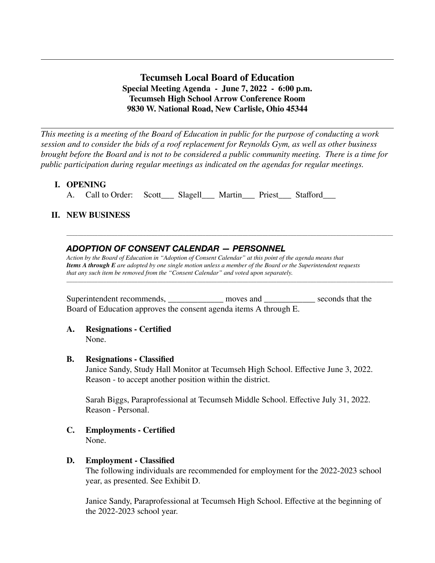**Tecumseh Local Board of Education Special Meeting Agenda - June 7, 2022 - 6:00 p.m. Tecumseh High School Arrow Conference Room 9830 W. National Road, New Carlisle, Ohio 45344**

*This meeting is a meeting of the Board of Education in public for the purpose of conducting a work session and to consider the bids of a roof replacement for Reynolds Gym, as well as other business brought before the Board and is not to be considered a public community meeting. There is a time for public participation during regular meetings as indicated on the agendas for regular meetings.*

## **I. OPENING**

A. Call to Order: Scott\_\_\_ Slagell\_\_\_ Martin\_\_\_ Priest Stafford

## **II. NEW BUSINESS**

## *ADOPTION OF CONSENT CALENDAR — PERSONNEL*

*Action by the Board of Education in "Adoption of Consent Calendar" at this point of the agenda means that Items A through E are adopted by one single motion unless a member of the Board or the Superintendent requests that any such item be removed from the "Consent Calendar" and voted upon separately.*

\_\_\_\_\_\_\_\_\_\_\_\_\_\_\_\_\_\_\_\_\_\_\_\_\_\_\_\_\_\_\_\_\_\_\_\_\_\_\_\_\_\_\_\_\_\_\_\_\_\_\_\_\_\_\_\_\_\_\_\_\_\_\_\_\_\_\_\_\_\_\_\_\_\_\_\_\_\_\_\_\_\_\_\_\_\_\_\_\_\_\_\_\_\_\_\_\_\_\_\_\_\_\_\_\_\_\_\_\_\_\_\_\_\_\_

\_\_\_\_\_\_\_\_\_\_\_\_\_\_\_\_\_\_\_\_\_\_\_\_\_\_\_\_\_\_\_\_\_\_\_\_\_\_\_\_\_\_\_\_\_\_\_\_\_\_\_\_\_\_\_\_\_\_\_\_\_\_\_\_\_\_\_\_\_\_\_\_\_\_\_\_\_\_\_\_\_\_\_\_\_\_\_\_\_\_\_\_\_\_\_\_\_\_\_\_\_\_\_\_\_\_\_\_\_\_\_\_\_\_\_

Superintendent recommends, moves and seconds that the Board of Education approves the consent agenda items A through E.

# **A. Resignations - Certified**

None.

## **B. Resignations - Classified**

Janice Sandy, Study Hall Monitor at Tecumseh High School. Effective June 3, 2022. Reason - to accept another position within the district.

Sarah Biggs, Paraprofessional at Tecumseh Middle School. Effective July 31, 2022. Reason - Personal.

**C. Employments - Certified** None.

## **D. Employment - Classified**

The following individuals are recommended for employment for the 2022-2023 school year, as presented. See Exhibit D.

Janice Sandy, Paraprofessional at Tecumseh High School. Effective at the beginning of the 2022-2023 school year.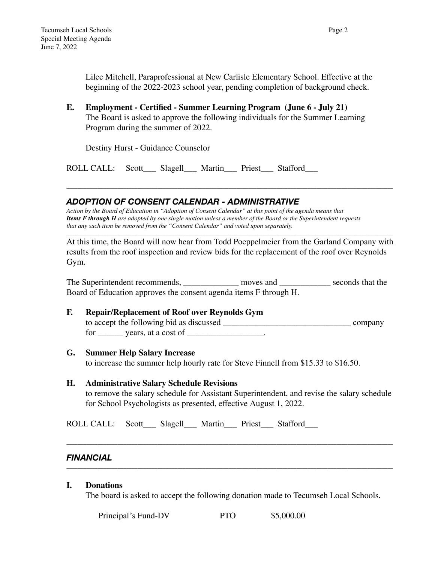Lilee Mitchell, Paraprofessional at New Carlisle Elementary School. Effective at the beginning of the 2022-2023 school year, pending completion of background check.

**E. Employment - Certified - Summer Learning Program (June 6 - July 21)** The Board is asked to approve the following individuals for the Summer Learning Program during the summer of 2022.

Destiny Hurst - Guidance Counselor

ROLL CALL: Scott\_\_\_ Slagell\_\_\_ Martin\_\_\_ Priest\_\_\_ Stafford\_\_\_

## *ADOPTION OF CONSENT CALENDAR - ADMINISTRATIVE*

*Action by the Board of Education in "Adoption of Consent Calendar" at this point of the agenda means that Items F through H are adopted by one single motion unless a member of the Board or the Superintendent requests that any such item be removed from the "Consent Calendar" and voted upon separately.*

At this time, the Board will now hear from Todd Poeppelmeier from the Garland Company with results from the roof inspection and review bids for the replacement of the roof over Reynolds Gym.

\_\_\_\_\_\_\_\_\_\_\_\_\_\_\_\_\_\_\_\_\_\_\_\_\_\_\_\_\_\_\_\_\_\_\_\_\_\_\_\_\_\_\_\_\_\_\_\_\_\_\_\_\_\_\_\_\_\_\_\_\_\_\_\_\_\_\_\_\_\_\_\_\_\_\_\_\_\_\_\_\_\_\_\_\_\_\_\_\_\_\_\_\_\_\_\_\_\_\_\_\_\_\_\_\_\_\_\_\_\_\_\_\_\_\_

\_\_\_\_\_\_\_\_\_\_\_\_\_\_\_\_\_\_\_\_\_\_\_\_\_\_\_\_\_\_\_\_\_\_\_\_\_\_\_\_\_\_\_\_\_\_\_\_\_\_\_\_\_\_\_\_\_\_\_\_\_\_\_\_\_\_\_\_\_\_\_\_\_\_\_\_\_\_\_\_\_\_\_\_\_\_\_\_\_\_\_\_\_\_\_\_\_\_\_\_\_\_\_\_\_\_\_\_\_\_\_\_\_\_\_

The Superintendent recommends, moves and seconds that the Board of Education approves the consent agenda items F through H.

## **F. Repair/Replacement of Roof over Reynolds Gym**

to accept the following bid as discussed company for vears, at a cost of  $\cdot$ 

## **G. Summer Help Salary Increase**

to increase the summer help hourly rate for Steve Finnell from \$15.33 to \$16.50.

#### **H. Administrative Salary Schedule Revisions**

to remove the salary schedule for Assistant Superintendent, and revise the salary schedule for School Psychologists as presented, effective August 1, 2022.

ROLL CALL: Scott\_\_\_ Slagell\_\_\_ Martin\_\_\_ Priest\_\_\_ Stafford\_\_\_

## *FINANCIAL*

## **I. Donations**

The board is asked to accept the following donation made to Tecumseh Local Schools.

\_\_\_\_\_\_\_\_\_\_\_\_\_\_\_\_\_\_\_\_\_\_\_\_\_\_\_\_\_\_\_\_\_\_\_\_\_\_\_\_\_\_\_\_\_\_\_\_\_\_\_\_\_\_\_\_\_\_\_\_\_\_\_\_\_\_\_\_\_\_\_\_\_\_\_\_\_\_\_\_\_\_\_\_\_\_\_\_\_\_\_\_\_\_\_\_\_\_\_\_\_\_\_\_\_\_\_\_\_\_\_\_\_\_\_

\_\_\_\_\_\_\_\_\_\_\_\_\_\_\_\_\_\_\_\_\_\_\_\_\_\_\_\_\_\_\_\_\_\_\_\_\_\_\_\_\_\_\_\_\_\_\_\_\_\_\_\_\_\_\_\_\_\_\_\_\_\_\_\_\_\_\_\_\_\_\_\_\_\_\_\_\_\_\_\_\_\_\_\_\_\_\_\_\_\_\_\_\_\_\_\_\_\_\_\_\_\_\_\_\_\_\_\_\_\_\_\_\_\_\_

| Principal's Fund-DV | <b>PTO</b> | \$5,000.00 |
|---------------------|------------|------------|
|---------------------|------------|------------|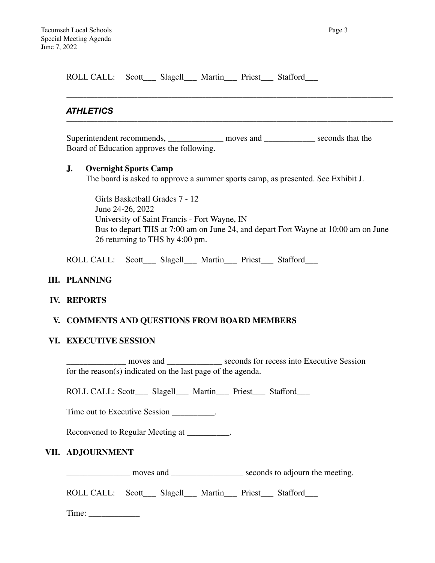| ROLL CALL: Scott___ Slagell___ Martin___ Priest___ Stafford___                                                                                                        |  |  |  |
|-----------------------------------------------------------------------------------------------------------------------------------------------------------------------|--|--|--|
| <b>ATHLETICS</b>                                                                                                                                                      |  |  |  |
| Superintendent recommends, _____________ moves and ____________ seconds that the<br>Board of Education approves the following.                                        |  |  |  |
| <b>Overnight Sports Camp</b><br>J.<br>The board is asked to approve a summer sports camp, as presented. See Exhibit J.                                                |  |  |  |
| Girls Basketball Grades 7 - 12<br>June 24-26, 2022                                                                                                                    |  |  |  |
| University of Saint Francis - Fort Wayne, IN<br>Bus to depart THS at 7:00 am on June 24, and depart Fort Wayne at 10:00 am on June<br>26 returning to THS by 4:00 pm. |  |  |  |

ROLL CALL: Scott\_\_\_ Slagell\_\_\_ Martin\_\_\_ Priest\_\_\_ Stafford\_\_\_

## **III. PLANNING**

## **IV. REPORTS**

## **V. COMMENTS AND QUESTIONS FROM BOARD MEMBERS**

## **VI. EXECUTIVE SESSION**

\_\_\_\_\_\_\_\_\_\_\_\_\_\_ moves and \_\_\_\_\_\_\_\_\_\_\_\_\_ seconds for recess into Executive Session for the reason(s) indicated on the last page of the agenda.

ROLL CALL: Scott\_\_\_ Slagell\_\_\_ Martin\_\_\_ Priest\_\_\_ Stafford\_\_\_

Time out to Executive Session \_\_\_\_\_\_\_\_\_.

Reconvened to Regular Meeting at \_\_\_\_\_\_\_\_\_\_.

## **VII. ADJOURNMENT**

\_\_\_\_\_\_\_\_\_\_\_\_\_\_\_ moves and \_\_\_\_\_\_\_\_\_\_\_\_\_\_\_\_\_ seconds to adjourn the meeting.

ROLL CALL: Scott\_\_\_ Slagell\_\_\_ Martin\_\_\_ Priest\_\_\_ Stafford\_\_\_

Time: \_\_\_\_\_\_\_\_\_\_\_\_